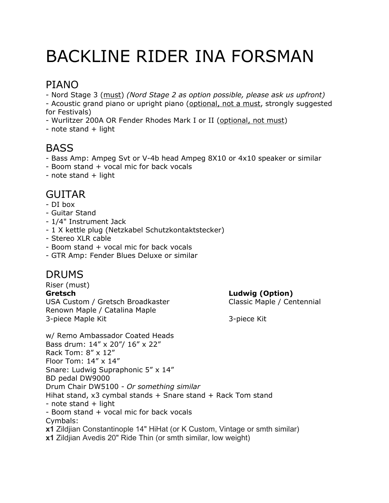# BACKLINE RIDER INA FORSMAN

## PIANO

- Nord Stage 3 (must) *(Nord Stage 2 as option possible, please ask us upfront)*

- Acoustic grand piano or upright piano (optional, not a must, strongly suggested for Festivals)

- Wurlitzer 200A OR Fender Rhodes Mark I or II (optional, not must)

 $-$  note stand  $+$  light

## **BASS**

- Bass Amp: Ampeg Svt or V-4b head Ampeg 8X10 or 4x10 speaker or similar
- Boom stand + vocal mic for back vocals
- $-$  note stand  $+$  light

#### GUITAR

- DI box
- Guitar Stand
- 1/4" Instrument Jack
- 1 X kettle plug (Netzkabel Schutzkontaktstecker)
- Stereo XLR cable
- Boom stand + vocal mic for back vocals
- GTR Amp: Fender Blues Deluxe or similar

#### DRUMS

Riser (must) **Gretsch Ludwig (Option)**  USA Custom / Gretsch Broadkaster Classic Maple / Centennial Renown Maple / Catalina Maple 3-piece Maple Kit 3-piece Kit

w/ Remo Ambassador Coated Heads Bass drum: 14" x 20"/ 16" x 22" Rack Tom: 8" x 12" Floor Tom: 14" x 14" Snare: Ludwig Supraphonic 5" x 14" BD pedal DW9000 Drum Chair DW5100 - *Or something similar*  Hihat stand, x3 cymbal stands + Snare stand + Rack Tom stand  $-$  note stand  $+$  light - Boom stand + vocal mic for back vocals Cymbals: **x1** Zildjian Constantinople 14" HiHat (or K Custom, Vintage or smth similar) **x1** Zildjian Avedis 20" Ride Thin (or smth similar, low weight)